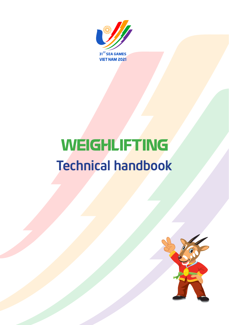

# **Technical handbook** WEIGHLIFTING

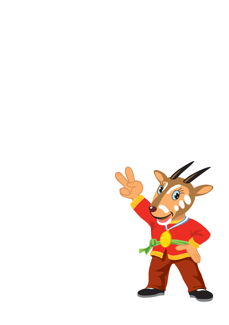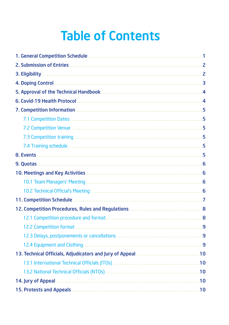## **Table of Contents**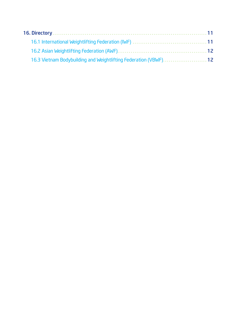| 16.3 Vietnam Bodybuilding and Weightlifting Federation (VBWF) 12 |
|------------------------------------------------------------------|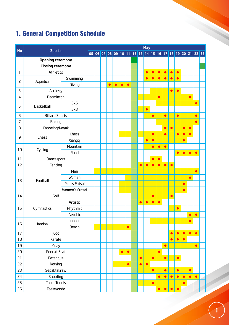## <span id="page-4-0"></span>1. General Competition Schedule

|           | <b>Sports</b>           |                |  |  |                                                          |           |           | May       |           |           |           |           |           |           |           |           |           |  |
|-----------|-------------------------|----------------|--|--|----------------------------------------------------------|-----------|-----------|-----------|-----------|-----------|-----------|-----------|-----------|-----------|-----------|-----------|-----------|--|
| <b>No</b> |                         |                |  |  | 05 06 07 08 09 10 11 12 13 14 15 16 17 18 19 20 21 22 23 |           |           |           |           |           |           |           |           |           |           |           |           |  |
|           | Opening ceremony        |                |  |  |                                                          |           |           |           |           |           |           |           |           |           |           |           |           |  |
|           | <b>Closing ceremony</b> |                |  |  |                                                          |           |           |           |           |           |           |           |           |           |           |           |           |  |
| 1         | <b>Athletics</b>        |                |  |  |                                                          |           |           |           | $\bullet$ | $\bullet$ | $\bullet$ | $\bullet$ | $\bullet$ | $\bullet$ |           |           |           |  |
| 2         | Aquatics                | Swimming       |  |  |                                                          |           |           |           | $\bullet$ | $\bullet$ | $\bullet$ | $\bullet$ | $\bullet$ | $\bullet$ |           |           |           |  |
|           |                         | Diving         |  |  | $\bullet$                                                | ٠         | $\bullet$ |           |           |           |           |           |           |           |           |           |           |  |
| З         | Archery                 |                |  |  |                                                          |           |           |           |           |           |           |           | $\bullet$ | $\bullet$ |           |           |           |  |
| 4         | Badminton               |                |  |  |                                                          |           |           |           |           |           | $\bullet$ |           |           |           |           | $\bullet$ |           |  |
| 5         | Basketball              | 5x5            |  |  |                                                          |           |           |           |           |           |           |           |           |           |           |           |           |  |
|           |                         | 3x3            |  |  |                                                          |           |           |           | $\bullet$ |           |           |           |           |           |           |           |           |  |
| 6         | <b>Billiard Sports</b>  |                |  |  |                                                          |           |           |           |           | $\bullet$ |           | $\bullet$ |           | $\bullet$ |           |           |           |  |
| 7         | Boxing                  |                |  |  |                                                          |           |           |           |           |           |           |           |           |           |           |           | $\bullet$ |  |
| 8         | Canoeing/Kayak          |                |  |  |                                                          |           |           |           |           |           |           | $\bullet$ | $\bullet$ |           | $\bullet$ | $\bullet$ |           |  |
| 9         | Chess                   | Chess          |  |  |                                                          |           |           |           |           |           |           | ٠         |           |           | $\bullet$ | $\bullet$ |           |  |
|           |                         | Xianggi        |  |  |                                                          |           |           |           | $\bullet$ | $\bullet$ |           |           |           |           | $\bullet$ |           |           |  |
| 10        | Cycling                 | Mountain       |  |  |                                                          |           |           |           |           | $\bullet$ | $\bullet$ | $\bullet$ |           |           |           |           |           |  |
|           |                         | Road           |  |  |                                                          |           |           |           |           |           |           |           |           | $\bullet$ | $\bullet$ | $\bullet$ | $\bullet$ |  |
| 11        | Dancesport              |                |  |  |                                                          |           |           |           |           |           | $\bullet$ |           |           |           |           |           |           |  |
| 12        | Fencing                 |                |  |  |                                                          |           |           | $\bullet$ | $\bullet$ |           | $\bullet$ | $\bullet$ | $\bullet$ |           |           |           |           |  |
|           |                         | Men            |  |  |                                                          |           |           |           |           |           |           |           |           |           |           |           |           |  |
| 13        | Football                | Women          |  |  |                                                          |           |           |           |           |           |           |           |           |           |           | $\bullet$ |           |  |
|           |                         | Men's Futsal   |  |  |                                                          |           |           |           |           |           |           |           |           |           | $\bullet$ |           |           |  |
|           |                         | Women's Futsal |  |  |                                                          |           |           |           |           |           |           |           |           |           | $\bullet$ |           |           |  |
| 14        | Golf                    |                |  |  |                                                          |           |           |           |           | $\bullet$ |           |           | $\bullet$ |           |           |           |           |  |
|           |                         | Artistic       |  |  |                                                          |           |           | $\bullet$ | $\bullet$ | $\bullet$ | $\bullet$ |           |           |           |           |           |           |  |
| 15        | Gymnastics              | Rhythmic       |  |  |                                                          |           |           |           |           |           |           |           |           | $\bullet$ |           |           |           |  |
|           |                         | Aerobic        |  |  |                                                          |           |           |           |           |           |           |           |           |           |           | $\bullet$ | $\bullet$ |  |
| 16        | Handball                | Indoor         |  |  |                                                          |           |           |           |           |           |           |           |           |           |           | $\bullet$ |           |  |
|           |                         | Beach          |  |  |                                                          |           | $\bullet$ |           |           |           |           |           |           |           |           |           |           |  |
| 17        | Judo                    |                |  |  |                                                          |           |           |           |           |           |           |           | $\bullet$ | $\bullet$ | $\bullet$ | $\bullet$ | $\bullet$ |  |
| 18        | Karate                  |                |  |  |                                                          |           |           |           |           |           |           |           | $\bullet$ | $\bullet$ | $\bullet$ |           |           |  |
| 19        | Muay                    |                |  |  |                                                          |           |           |           |           |           |           | ∙         |           |           |           |           |           |  |
| 20        | Pencak Silat            |                |  |  |                                                          | $\bullet$ | $\bullet$ |           |           |           | $\bullet$ |           |           |           |           |           |           |  |
| 21        | Petanque                |                |  |  |                                                          |           |           | $\bullet$ |           | $\bullet$ |           | $\bullet$ |           | $\bullet$ |           |           |           |  |
| 22        | Rowing                  |                |  |  |                                                          |           | $\bullet$ | $\bullet$ | $\bullet$ |           |           |           |           |           |           |           |           |  |
| 23        | Sepaktakraw             |                |  |  |                                                          |           |           |           |           |           |           | $\bullet$ |           | $\bullet$ |           | $\bullet$ |           |  |
| 24        | Shooting                |                |  |  |                                                          |           |           |           |           |           | $\bullet$ | $\bullet$ | $\bullet$ | $\bullet$ | $\bullet$ | $\bullet$ | $\bullet$ |  |
| 25        | <b>Table Tennis</b>     |                |  |  |                                                          |           |           |           |           | $\bullet$ |           |           |           |           | $\bullet$ |           |           |  |
| 26        | Taekwondo               |                |  |  |                                                          |           |           |           |           |           | $\bullet$ | $\bullet$ | $\bullet$ | г         |           |           |           |  |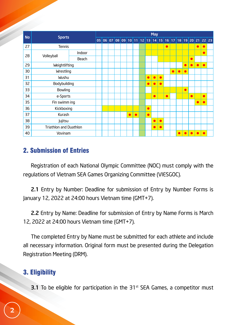<span id="page-5-0"></span>

| <b>No</b> | <b>Sports</b>                 |        | May<br>05 06 07 08 09 10 11 12 13 14 15 16 17 |  |  |  |  |  |  |  |           |           |           |           |           |           |           |           |           |           |       |
|-----------|-------------------------------|--------|-----------------------------------------------|--|--|--|--|--|--|--|-----------|-----------|-----------|-----------|-----------|-----------|-----------|-----------|-----------|-----------|-------|
|           |                               |        |                                               |  |  |  |  |  |  |  |           |           |           |           |           | 18        |           |           | 19 20 21  |           | 22 23 |
| 27        | Tennis                        |        |                                               |  |  |  |  |  |  |  |           |           |           |           |           |           |           |           |           |           |       |
|           |                               | Indoor |                                               |  |  |  |  |  |  |  |           |           |           |           |           |           |           |           |           | $\bullet$ |       |
| 28        | Volleyball                    | Beach  |                                               |  |  |  |  |  |  |  |           |           |           |           |           |           |           | $\bullet$ |           |           |       |
| 29        | Weightlifting                 |        |                                               |  |  |  |  |  |  |  |           |           |           |           |           |           |           | $\bullet$ | $\bullet$ | $\bullet$ |       |
| 30        | Wrestling                     |        |                                               |  |  |  |  |  |  |  |           |           |           |           | $\bullet$ | $\bullet$ | $\bullet$ |           |           |           |       |
| 31        | Wushu                         |        |                                               |  |  |  |  |  |  |  |           |           | $\bullet$ |           |           |           |           |           |           |           |       |
| 32        | Bodybuilding                  |        |                                               |  |  |  |  |  |  |  | $\bullet$ |           | $\bullet$ |           |           |           |           |           |           |           |       |
| 33        | Bowling                       |        |                                               |  |  |  |  |  |  |  |           |           |           |           |           |           | $\bullet$ |           |           |           |       |
| 34        | e-Sports                      |        |                                               |  |  |  |  |  |  |  |           |           |           | $\bullet$ |           |           |           | $\bullet$ |           | $\bullet$ |       |
| 35        | Fin swimm ing                 |        |                                               |  |  |  |  |  |  |  |           |           |           |           |           |           |           |           |           | $\bullet$ |       |
| 36        | Kickboxing                    |        |                                               |  |  |  |  |  |  |  |           |           |           |           |           |           |           |           |           |           |       |
| 37        | Kurash                        |        |                                               |  |  |  |  |  |  |  | $\bullet$ |           |           |           |           |           |           |           |           |           |       |
| 38        | Jujitsu                       |        |                                               |  |  |  |  |  |  |  |           | $\bullet$ | $\bullet$ |           |           |           |           |           |           |           |       |
| 39        | <b>Triathlon and Duathlon</b> |        |                                               |  |  |  |  |  |  |  |           |           | $\bullet$ |           |           |           |           |           |           |           |       |
| 40        | Vovinam                       |        |                                               |  |  |  |  |  |  |  |           |           |           |           |           | $\bullet$ | $\bullet$ | $\bullet$ | $\bullet$ | $\bullet$ |       |

## 2. Submission of Entries

Registration of each National Olympic Committee (NOC) must comply with the regulations of Vietnam SEA Games Organizing Committee (VIESGOC).

**2.1** Entry by Number: Deadline for submission of Entry by Number Forms is January 12, 2022 at 24:00 hours Vietnam time (GMT+7).

**2.2** Entry by Name: Deadline for submission of Entry by Name Forms is March 12, 2022 at 24:00 hours Vietnam time (GMT+7).

The completed Entry by Name must be submitted for each athlete and include all necessary information. Original form must be presented during the Delegation Registration Meeting (DRM).

## 3. Eligibility

**3.1** To be eligible for participation in the 31<sup>st</sup> SEA Games, a competitor must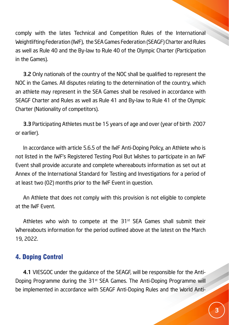<span id="page-6-0"></span>comply with the lates Technical and Competition Rules of the International Weightlifting Federation (IWF), the SEA Games Federation (SEAGF) Charter and Rules as well as Rule 40 and the By-law to Rule 40 of the Olympic Charter (Participation in the Games).

**3.2** Only nationals of the country of the NOC shall be qualified to represent the NOC in the Games. All disputes relating to the determination of the country, which an athlete may represent in the SEA Games shall be resolved in accordance with SEAGF Charter and Rules as well as Rule 41 and By-law to Rule 41 of the Olympic Charter (Nationality of competitors).

**3.3** Participating Athletes must be 15 years of age and over (year of birth 2007 or earlier).

In accordance with article 5.6.5 of the IWF Anti-Doping Policy, an Athlete who is not listed in the IWF's Registered Testing Pool But Wishes to participate in an IWF Event shall provide accurate and complete whereabouts information as set out at Annex of the International Standard for Testing and Investigations for a period of at least two (02) months prior to the IWF Event in question.

An Athlete that does not comply with this provision is not eligible to complete at the IWF Event.

Athletes who wish to compete at the  $31<sup>st</sup>$  SEA Games shall submit their Whereabouts information for the period outlined above at the latest on the March 19, 2022.

## 4. Doping Control

**4.1** VIESGOC under the guidance of the SEAGF, will be responsible for the Anti-Doping Programme during the 31<sup>st</sup> SEA Games. The Anti-Doping Programme will be implemented in accordance with SEAGF Anti-Doping Rules and the World Anti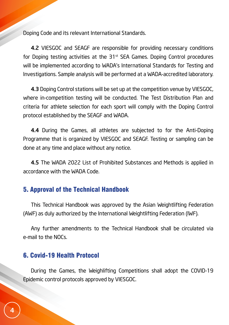<span id="page-7-0"></span>Doping Code and its relevant International Standards.

**4.2** VIESGOC and SEAGF are responsible for providing necessary conditions for Doping testing activities at the 31<sup>st</sup> SEA Games. Doping Control procedures will be implemented according to WADA's International Standards for Testing and Investigations. Sample analysis will be performed at a WADA-accredited laboratory.

**4.3** Doping Control stations will be set up at the competition venue by VIESGOC, where in-competition testing will be conducted. The Test Distribution Plan and criteria for athlete selection for each sport will comply with the Doping Control protocol established by the SEAGF and WADA.

**4.4** During the Games, all athletes are subjected to for the Anti-Doping Programme that is organized by VIESGOC and SEAGF. Testing or sampling can be done at any time and place without any notice.

**4.5** The WADA 2022 List of Prohibited Substances and Methods is applied in accordance with the WADA Code.

#### 5. Approval of the Technical Handbook

This Technical Handbook was approved by the Asian Weightlifting Federation (AWF) as duly authorized by the International Weightlifting Federation (IWF).

Any further amendments to the Technical Handbook shall be circulated via e-mail to the NOCs.

#### 6. Covid-19 Health Protocol

During the Games, the Weighlifting Competitions shall adopt the COVID-19 Epidemic control protocols approved by VIESGOC.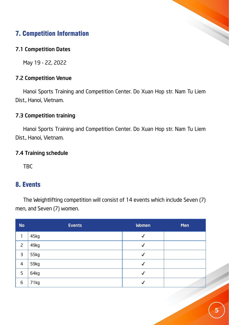## <span id="page-8-0"></span>7. Competition Information

#### **7.1 Competition Dates**

May 19 - 22, 2022

#### **7.2 Competition Venue**

Hanoi Sports Training and Competition Center. Do Xuan Hop str. Nam Tu Liem Dist., Hanoi, Vietnam.

#### **7.3 Competition training**

Hanoi Sports Training and Competition Center. Do Xuan Hop str. Nam Tu Liem Dist., Hanoi, Vietnam.

#### **7.4 Training schedule**

TBC

## 8. Events

The Weightlifting competition will consist of 14 events which include Seven (7) men, and Seven (7) women.

| <b>No</b>      | <b>Events</b> | <b>Women</b> | Men |
|----------------|---------------|--------------|-----|
|                | 45kg          |              |     |
| $\overline{c}$ | 49kg          |              |     |
| 3              | 55kg          |              |     |
| 4              | 59kg          |              |     |
| 5              | 64kg          | ✓            |     |
| 6              | 71kg          |              |     |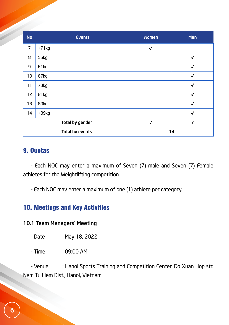<span id="page-9-0"></span>

| <b>No</b>      | <b>Events</b>   | <b>Women</b> | Men          |
|----------------|-----------------|--------------|--------------|
| $\overline{7}$ | $+71kg$         | $\checkmark$ |              |
| 8              | 55kg            |              | √            |
| 9              | 61kg            |              | $\checkmark$ |
| 10             | 67kg            |              | √            |
| 11             | 73kg            |              | $\checkmark$ |
| 12             | 81kg            |              | √            |
| 13             | 89kg            |              | √            |
| 14             | +89kg           |              | √            |
|                | Total by gender | 7            | 7            |
|                | Total by events |              | 14           |

## 9. Quotas

- Each NOC may enter a maximum of Seven (7) male and Seven (7) Female athletes for the Weightlifting competition

- Each NOC may enter a maximum of one (1) athlete per category.

## 10. Meetings and Key Activities

#### **10.1 Team Managers' Meeting**

- Date : May 18, 2022

- Time : 09:00 AM

- Venue : Hanoi Sports Training and Competition Center. Do Xuan Hop str. Nam Tu Liem Dist., Hanoi, Vietnam.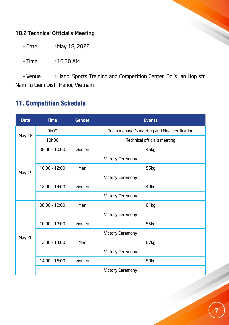

#### <span id="page-10-0"></span>**10.2 Technical Official's Meeting**

- Date : May 18, 2022

- Time : 10:30 AM

- Venue : Hanoi Sports Training and Competition Center. Do Xuan Hop str. Nam Tu Liem Dist., Hanoi, Vietnam

## 11. Competition Schedule

| <b>Date</b>   | <b>Time</b>             | Gender | <b>Events</b>                                 |  |  |  |  |  |  |  |
|---------------|-------------------------|--------|-----------------------------------------------|--|--|--|--|--|--|--|
|               | 9h00                    |        | Team manager's meeting and Final verification |  |  |  |  |  |  |  |
| May 18        | 10h30                   |        | Technical official's meeting                  |  |  |  |  |  |  |  |
|               | $08:00 - 10:00$         | Women  | 45kg                                          |  |  |  |  |  |  |  |
|               | <b>Victory Ceremony</b> |        |                                               |  |  |  |  |  |  |  |
|               | 10:00 - 12:00           | Men    | $55$ kg                                       |  |  |  |  |  |  |  |
| May 19        | <b>Victory Ceremony</b> |        |                                               |  |  |  |  |  |  |  |
|               | 12:00 - 14:00           | Women  | 49kg                                          |  |  |  |  |  |  |  |
|               | Victory Ceremony        |        |                                               |  |  |  |  |  |  |  |
|               | $08:00 - 10:00$         | Men    | 61kg                                          |  |  |  |  |  |  |  |
|               | <b>Victory Ceremony</b> |        |                                               |  |  |  |  |  |  |  |
|               | 10:00 - 12:00           | Women  | 55kg                                          |  |  |  |  |  |  |  |
|               | <b>Victory Ceremony</b> |        |                                               |  |  |  |  |  |  |  |
| <b>May 20</b> | 12:00 - 14:00           | Men    | 67kg                                          |  |  |  |  |  |  |  |
|               |                         |        | Victory Ceremony                              |  |  |  |  |  |  |  |
|               | 14:00 - 16:00           | Women  | 59kg                                          |  |  |  |  |  |  |  |
|               |                         |        | <b>Victory Ceremony</b>                       |  |  |  |  |  |  |  |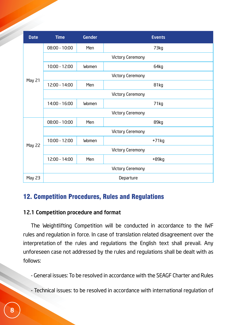<span id="page-11-0"></span>

## 12. Competition Procedures, Rules and Regulations

#### **12.1 Competition procedure and format**

The Weightlifting Competition will be conducted in accordance to the IWF rules and regulation in force. In case of translation related disagreement over the interpretation of the rules and regulations the English text shall prevail. Any unforeseen case not addressed by the rules and regulations shall be dealt with as follows:

- General issues: To be resolved in accordance with the SEAGF Charter and Rules
- Technical issues: to be resolved in accordance with international regulation of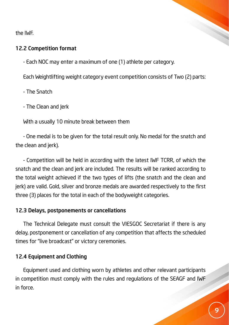

<span id="page-12-0"></span>the IWF.

#### **12.2 Competition format**

- Each NOC may enter a maximum of one (1) athlete per category.

Each Weightlifting weight category event competition consists of Two (2) parts:

- The Snatch

- The Clean and Jerk

With a usually 10 minute break between them

- One medal is to be given for the total result only. No medal for the snatch and the clean and jerk).

- Competition will be held in according with the latest IWF TCRR, of which the snatch and the clean and jerk are included. The results will be ranked according to the total weight achieved if the two types of lifts (the snatch and the clean and jerk) are valid. Gold, silver and bronze medals are awarded respectively to the first three (3) places for the total in each of the bodyweight categories.

## **12.3 Delays, postponements or cancellations**

The Technical Delegate must consult the VIESGOC Secretariat if there is any delay, postponement or cancellation of any competition that affects the scheduled times for "live broadcast" or victory ceremonies.

## **12.4 Equipment and Clothing**

Equipment used and clothing worn by athletes and other relevant participants in competition must comply with the rules and regulations of the SEAGF and IWF in force.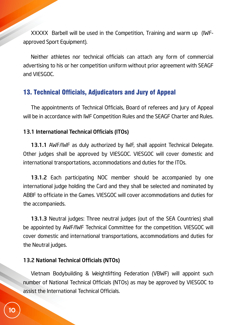<span id="page-13-0"></span>XXXXX Barbell will be used in the Competition, Training and warm up (IWFapproved Sport Equipment).

Neither athletes nor technical officials can attach any form of commercial advertising to his or her competition uniform without prior agreement with SEAGF and VIESGOC.

## 13. Technical Officials, Adjudicators and Jury of Appeal

The appointments of Technical Officials, Board of referees and Jury of Appeal will be in accordance with IWF Competition Rules and the SEAGF Charter and Rules.

#### **13.1 International Technical Officials (ITOs)**

**13.1.1** AWF/IWF as duly authorized by IWF, shall appoint Technical Delegate. Other judges shall be approved by VIESGOC. VIESGOC will cover domestic and international transportations, accommodations and duties for the ITOs.

**13.1.2** Each participating NOC member should be accompanied by one international judge holding the Card and they shall be selected and nominated by ABBF to officiate in the Games. VIESGOC will cover accommodations and duties for the accompanieds.

**13.1.3** Neutral judges: Three neutral judges (out of the SEA Countries) shall be appointed by AWF/IWF Technical Committee for the competition. VIESGOC will cover domestic and international transportations, accommodations and duties for the Neutral judges.

#### **13.2 National Technical Officials (NTOs)**

Vietnam Bodybuilding & Weightlifting Federation (VBWF) will appoint such number of National Technical Officials (NTOs) as may be approved by VIESGOC to assist the International Technical Officials.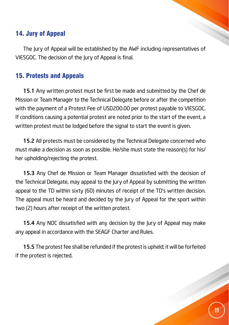## <span id="page-14-0"></span>14. Jury of Appeal

The Jury of Appeal will be established by the AWF including representatives of VIESGOC. The decision of the Jury of Appeal is final.

## 15. Protests and Appeals

**15.1** Any written protest must be first be made and submitted by the Chef de Mission or Team Manager to the Technical Delegate before or after the competition with the payment of a Protest Fee of USD200.00 per protest payable to VIESGOC. If conditions causing a potential protest are noted prior to the start of the event, a written protest must be lodged before the signal to start the event is given.

**15.2** All protests must be considered by the Technical Delegate concerned who must make a decision as soon as possible. He/she must state the reason(s) for his/ her upholding/rejecting the protest.

**15.3** Any Chef de Mission or Team Manager dissatisfied with the decision of the Technical Delegate, may appeal to the Jury of Appeal by submitting the written appeal to the TD within sixty (60) minutes of receipt of the TD's written decision. The appeal must be heard and decided by the Jury of Appeal for the sport within two (2) hours after receipt of the written protest.

**15.4** Any NOC dissatisfied with any decision by the Jury of Appeal may make any appeal in accordance with the SEAGF Charter and Rules.

**15.5** The protest fee shall be refunded if the protest is upheld; it will be forfeited if the protest is rejected.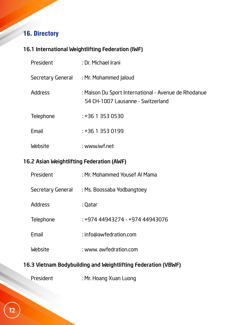## <span id="page-15-0"></span>16. Directory

## **16.1 International Weightlifting Federation (IWF)**

| President         | : Dr. Michael Irani                                                                       |
|-------------------|-------------------------------------------------------------------------------------------|
| Secretary General | : Mr. Mohammed Jaloud                                                                     |
| <b>Address</b>    | : Maison Du Sport International - Avenue de Rhodanue<br>54 CH-1007 Lausanne - Switzerland |
| Telephone         | : +36 1 353 0530                                                                          |
| Fmail             | : +36 1 353 0199                                                                          |
| Mehsite           | : www.iwf.net                                                                             |

## **16.2 Asian Weightlifting Federation (AWF)**

| President         | : Mr. Mohammed Yousef Al Mama      |
|-------------------|------------------------------------|
| Secretary General | : Ms. Boossaba Yodbangtoey         |
| <b>Address</b>    | : Oatar                            |
| Telephone         | 14943076 074 - 2074 1494 1494 1594 |
| Fmail             | : info@awfedration.com             |
| Mehsite           | : www. awfedration.com             |

## **16.3 Vietnam Bodybuilding and Weightlifting Federation (VBWF)**

President : Mr. Hoang Xuan Luong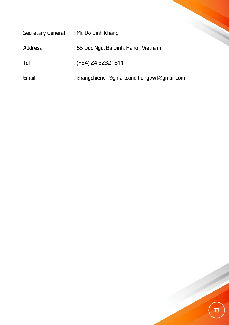

| Secretary General | : Mr. Do Dinh Khang                         |
|-------------------|---------------------------------------------|
| Address           | : 65 Doc Ngu, Ba Dinh, Hanoi, Vietnam       |
| Tel               | $:(+84)$ 24 32321811                        |
| Email             | : khangchienvn@gmail.com; hungvwf@gmail.com |